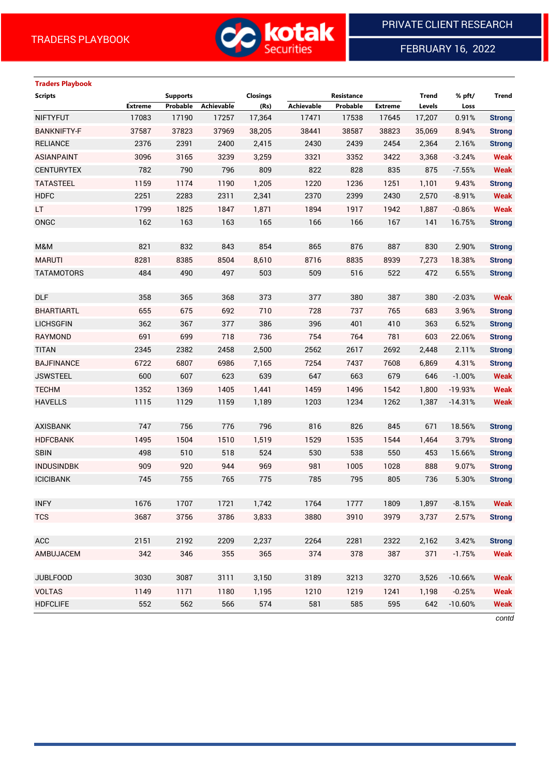

FEBRUARY 16, 2022

# **Traders Playbook**

| <b>Scripts</b>     |                | <b>Supports</b> |            | <b>Closings</b> |            | Resistance |                | <b>Trend</b> | % pft/    | <b>Trend</b>  |
|--------------------|----------------|-----------------|------------|-----------------|------------|------------|----------------|--------------|-----------|---------------|
|                    | <b>Extreme</b> | Probable        | Achievable | (Rs)            | Achievable | Probable   | <b>Extreme</b> | Levels       | Loss      |               |
| <b>NIFTYFUT</b>    | 17083          | 17190           | 17257      | 17,364          | 17471      | 17538      | 17645          | 17,207       | 0.91%     | <b>Strong</b> |
| <b>BANKNIFTY-F</b> | 37587          | 37823           | 37969      | 38,205          | 38441      | 38587      | 38823          | 35,069       | 8.94%     | <b>Strong</b> |
| <b>RELIANCE</b>    | 2376           | 2391            | 2400       | 2,415           | 2430       | 2439       | 2454           | 2,364        | 2.16%     | <b>Strong</b> |
| <b>ASIANPAINT</b>  | 3096           | 3165            | 3239       | 3,259           | 3321       | 3352       | 3422           | 3,368        | $-3.24%$  | <b>Weak</b>   |
| <b>CENTURYTEX</b>  | 782            | 790             | 796        | 809             | 822        | 828        | 835            | 875          | $-7.55%$  | <b>Weak</b>   |
| <b>TATASTEEL</b>   | 1159           | 1174            | 1190       | 1,205           | 1220       | 1236       | 1251           | 1,101        | 9.43%     | <b>Strong</b> |
| <b>HDFC</b>        | 2251           | 2283            | 2311       | 2,341           | 2370       | 2399       | 2430           | 2,570        | $-8.91%$  | <b>Weak</b>   |
| LT.                | 1799           | 1825            | 1847       | 1,871           | 1894       | 1917       | 1942           | 1,887        | $-0.86%$  | <b>Weak</b>   |
| ONGC               | 162            | 163             | 163        | 165             | 166        | 166        | 167            | 141          | 16.75%    | <b>Strong</b> |
|                    |                |                 |            |                 |            |            |                |              |           |               |
| M&M                | 821            | 832             | 843        | 854             | 865        | 876        | 887            | 830          | 2.90%     | <b>Strong</b> |
| <b>MARUTI</b>      | 8281           | 8385            | 8504       | 8,610           | 8716       | 8835       | 8939           | 7,273        | 18.38%    | <b>Strong</b> |
| <b>TATAMOTORS</b>  | 484            | 490             | 497        | 503             | 509        | 516        | 522            | 472          | 6.55%     | <b>Strong</b> |
|                    |                |                 |            |                 |            |            |                |              |           |               |
| <b>DLF</b>         | 358            | 365             | 368        | 373             | 377        | 380        | 387            | 380          | $-2.03%$  | <b>Weak</b>   |
| <b>BHARTIARTL</b>  | 655            | 675             | 692        | 710             | 728        | 737        | 765            | 683          | 3.96%     | <b>Strong</b> |
| <b>LICHSGFIN</b>   | 362            | 367             | 377        | 386             | 396        | 401        | 410            | 363          | 6.52%     | <b>Strong</b> |
| RAYMOND            | 691            | 699             | 718        | 736             | 754        | 764        | 781            | 603          | 22.06%    | <b>Strong</b> |
| <b>TITAN</b>       | 2345           | 2382            | 2458       | 2,500           | 2562       | 2617       | 2692           | 2,448        | 2.11%     | <b>Strong</b> |
| <b>BAJFINANCE</b>  | 6722           | 6807            | 6986       | 7,165           | 7254       | 7437       | 7608           | 6,869        | 4.31%     | <b>Strong</b> |
| <b>JSWSTEEL</b>    | 600            | 607             | 623        | 639             | 647        | 663        | 679            | 646          | $-1.00%$  | <b>Weak</b>   |
| <b>TECHM</b>       | 1352           | 1369            | 1405       | 1,441           | 1459       | 1496       | 1542           | 1,800        | $-19.93%$ | <b>Weak</b>   |
| <b>HAVELLS</b>     | 1115           | 1129            | 1159       | 1,189           | 1203       | 1234       | 1262           | 1,387        | $-14.31%$ | <b>Weak</b>   |
|                    |                |                 |            |                 |            |            |                |              |           |               |
| <b>AXISBANK</b>    | 747            | 756             | 776        | 796             | 816        | 826        | 845            | 671          | 18.56%    | <b>Strong</b> |
| <b>HDFCBANK</b>    | 1495           | 1504            | 1510       | 1,519           | 1529       | 1535       | 1544           | 1,464        | 3.79%     | <b>Strong</b> |
| <b>SBIN</b>        | 498            | 510             | 518        | 524             | 530        | 538        | 550            | 453          | 15.66%    | <b>Strong</b> |
| <b>INDUSINDBK</b>  | 909            | 920             | 944        | 969             | 981        | 1005       | 1028           | 888          | 9.07%     | <b>Strong</b> |
| <b>ICICIBANK</b>   | 745            | 755             | 765        | 775             | 785        | 795        | 805            | 736          | 5.30%     | <b>Strong</b> |
|                    |                |                 |            |                 |            |            |                |              |           |               |
| <b>INFY</b>        | 1676           | 1707            | 1721       | 1,742           | 1764       | 1777       | 1809           | 1,897        | $-8.15%$  | <b>Weak</b>   |
| <b>TCS</b>         | 3687           | 3756            | 3786       | 3,833           | 3880       | 3910       | 3979           | 3,737        | 2.57%     | <b>Strong</b> |
|                    |                |                 |            |                 |            |            |                |              |           |               |
| <b>ACC</b>         | 2151           | 2192            | 2209       | 2,237           | 2264       | 2281       | 2322           | 2,162        | 3.42%     | <b>Strong</b> |
| AMBUJACEM          | 342            | 346             | 355        | 365             | 374        | 378        | 387            | 371          | $-1.75%$  | <b>Weak</b>   |
|                    |                |                 |            |                 |            |            |                |              |           |               |
| <b>JUBLFOOD</b>    | 3030           | 3087            | 3111       | 3,150           | 3189       | 3213       | 3270           | 3,526        | $-10.66%$ | <b>Weak</b>   |
| <b>VOLTAS</b>      | 1149           | 1171            | 1180       | 1,195           | 1210       | 1219       | 1241           | 1,198        | $-0.25%$  | <b>Weak</b>   |
| <b>HDFCLIFE</b>    | 552            | 562             | 566        | 574             | 581        | 585        | 595            | 642          | $-10.60%$ | <b>Weak</b>   |

*contd*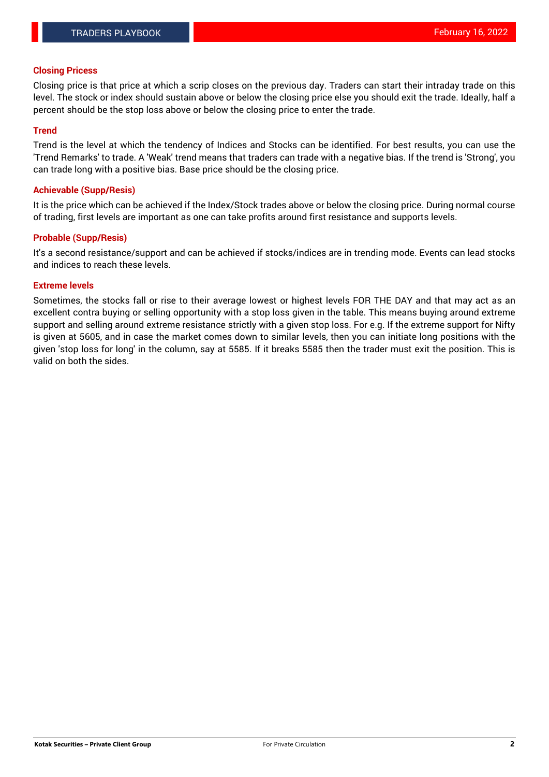#### **Closing Pricess**

Closing price is that price at which a scrip closes on the previous day. Traders can start their intraday trade on this level. The stock or index should sustain above or below the closing price else you should exit the trade. Ideally, half a percent should be the stop loss above or below the closing price to enter the trade.

# **Trend**

Trend is the level at which the tendency of Indices and Stocks can be identified. For best results, you can use the 'Trend Remarks' to trade. A 'Weak' trend means that traders can trade with a negative bias. If the trend is 'Strong', you can trade long with a positive bias. Base price should be the closing price.

#### **Achievable (Supp/Resis)**

It is the price which can be achieved if the Index/Stock trades above or below the closing price. During normal course of trading, first levels are important as one can take profits around first resistance and supports levels.

# **Probable (Supp/Resis)**

It's a second resistance/support and can be achieved if stocks/indices are in trending mode. Events can lead stocks and indices to reach these levels.

#### **Extreme levels**

Sometimes, the stocks fall or rise to their average lowest or highest levels FOR THE DAY and that may act as an excellent contra buying or selling opportunity with a stop loss given in the table. This means buying around extreme support and selling around extreme resistance strictly with a given stop loss. For e.g. If the extreme support for Nifty is given at 5605, and in case the market comes down to similar levels, then you can initiate long positions with the given 'stop loss for long' in the column, say at 5585. If it breaks 5585 then the trader must exit the position. This is valid on both the sides.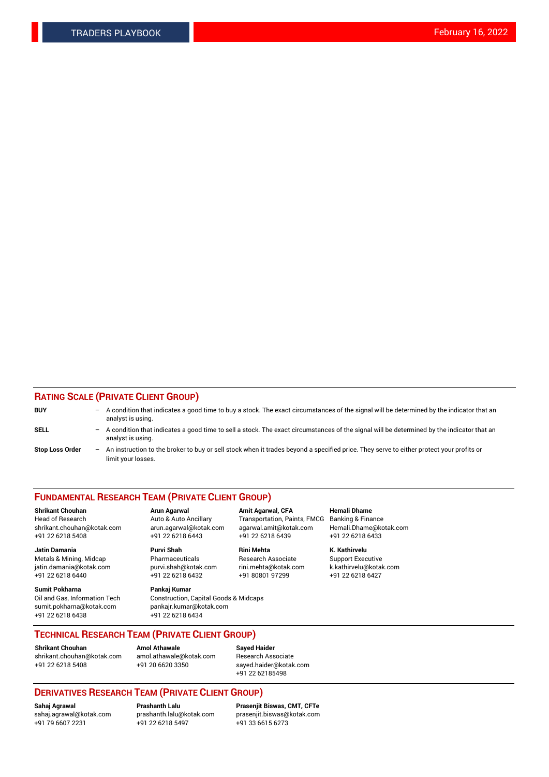# **RATING SCALE (PRIVATE CLIENT GROUP)**

| <b>BUY</b>             | $-$ | A condition that indicates a good time to buy a stock. The exact circumstances of the signal will be determined by the indicator that an<br>analyst is using.  |
|------------------------|-----|----------------------------------------------------------------------------------------------------------------------------------------------------------------|
| SELL                   | $-$ | A condition that indicates a good time to sell a stock. The exact circumstances of the signal will be determined by the indicator that an<br>analyst is using. |
| <b>Stop Loss Order</b> | $-$ | An instruction to the broker to buy or sell stock when it trades beyond a specified price. They serve to either protect your profits or<br>limit your losses.  |

#### **FUNDAMENTAL RESEARCH TEAM (PRIVATE CLIENT GROUP)**

**Shrikant Chouhan Arun Agarwal Amit Agarwal, CFA Hemali Dhame** Head of Research Auto & Auto Ancillary Transportation, Paints, FMCG Banking & Finance shrikant.chouhan@kotak.com arun.agarwal@kotak.com agarwal.amit@kotak.com Hemali.Dhame@kotak.com

**Jatin Damania Purvi Shah Rini Mehta K. Kathirvelu** Metals & Mining, Midcap **Pharmaceuticals** Research Associate Support Executive jatin.damania@kotak.com [purvi.shah@kotak.com](mailto:purvi.shah@kotak.com) rini.mehta@kotak.com [k.kathirvelu@kotak.com](mailto:k.kathirvelu@kotak.com)  $+91$  22 6218 6440  $+91$  22 6218 6432

**Sumit Pokharna Pankaj Kumar** sumit.pokharna@kotak.com pankajr.kumar@kotak.com +91 22 6218 6438 +91 22 6218 6434

Oil and Gas, Information Tech Construction, Capital Goods & Midcaps

+91 22 6218 5408 +91 22 6218 6443 +91 22 6218 6439 +91 22 6218 6433

**TECHNICAL RESEARCH TEAM (PRIVATE CLIENT GROUP)**

[shrikant.chouhan@kotak.com](mailto:shrikant.chouhan@kotak.com) [amol.athawale@kotak.com](mailto:amol.athawale@kotak.com) Research Associate +91 22 6218 5408 +91 20 6620 3350 [sayed.haider@kotak.com](mailto:sayed.haider@kotak.com)

**Shrikant Chouhan Amol Athawale Sayed Haider**

+91 22 62185498

# **DERIVATIVES RESEARCH TEAM (PRIVATE CLIENT GROUP)**

 $+91$  22 6218 5497

**Sahaj Agrawal Prashanth Lalu Prasenjit Biswas, CMT, CFTe** [sahaj.agrawal@kotak.com](mailto:sahaj.agrawal@kotak.com) [prashanth.lalu@kotak.com](mailto:prashanth.lalu@kotak.com) [prasenjit.biswas@kotak.com](mailto:prasenjit.biswas@kotak.com)